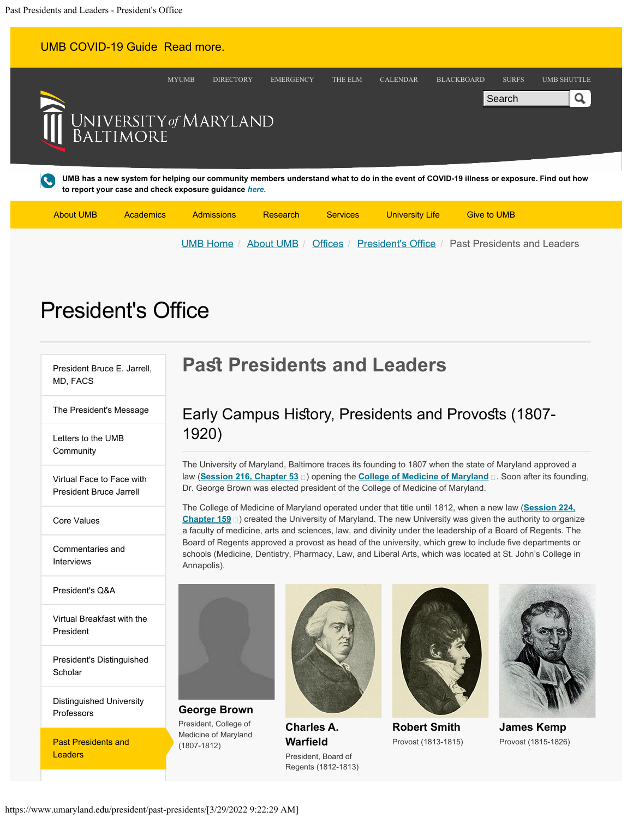| <b>UMB COVID-19 Guide Read more.</b>                                                                                                                                                                                 |              |                                      |                 |                 |                                   |                    |
|----------------------------------------------------------------------------------------------------------------------------------------------------------------------------------------------------------------------|--------------|--------------------------------------|-----------------|-----------------|-----------------------------------|--------------------|
|                                                                                                                                                                                                                      | <b>MYUMB</b> | <b>DIRECTORY</b><br><b>EMERGENCY</b> | THE ELM         | <b>CALENDAR</b> | <b>BLACKBOARD</b><br><b>SURFS</b> | <b>UMB SHUTTLE</b> |
|                                                                                                                                                                                                                      |              |                                      |                 |                 | Search                            | $\mathbf{a}$       |
| UNIVERSITY of MARYLAND<br>BALTIMORE                                                                                                                                                                                  |              |                                      |                 |                 |                                   |                    |
|                                                                                                                                                                                                                      |              |                                      |                 |                 |                                   |                    |
| UMB has a new system for helping our community members understand what to do in the event of COVID-19 illness or exposure. Find out how<br>$\boldsymbol{G}$<br>to report your case and check exposure guidance here. |              |                                      |                 |                 |                                   |                    |
| <b>About UMB</b>                                                                                                                                                                                                     |              | Research                             | <b>Services</b> |                 | <b>Give to UMB</b>                |                    |
| <b>Admissions</b><br>University Life<br>Academics                                                                                                                                                                    |              |                                      |                 |                 |                                   |                    |

# **President's Office**

[President Bruce E. Jarrell,](https://www.umaryland.edu/president/presidents-biography/) [MD, FACS](https://www.umaryland.edu/president/presidents-biography/)

[The President's Message](https://www.umaryland.edu/president/presidents-message/)

[Letters to the UMB](https://www.umaryland.edu/president/letters-to-the-umb-community/) **[Community](https://www.umaryland.edu/president/letters-to-the-umb-community/)** 

[Virtual Face to Face with](https://www.umaryland.edu/president/face-to-face/) [President Bruce Jarrell](https://www.umaryland.edu/president/face-to-face/)

[Core Values](https://www.umaryland.edu/president/core-values/)

[Commentaries and](https://www.umaryland.edu/president/commentaries-and-interviews/) [Interviews](https://www.umaryland.edu/president/commentaries-and-interviews/)

[President's Q&A](https://www.umaryland.edu/president/q-and-a-with-the-president/)

[Virtual Breakfast with the](https://www.umaryland.edu/president/breakfast/) [President](https://www.umaryland.edu/president/breakfast/)

[President's Distinguished](https://www.umaryland.edu/president/presidents-distinguished-scholar/) **[Scholar](https://www.umaryland.edu/president/presidents-distinguished-scholar/)** 

[Distinguished University](https://www.umaryland.edu/president/distinguished-university-professors/) **[Professors](https://www.umaryland.edu/president/distinguished-university-professors/)** 

Past Presidents and **Leaders** 

## **Past Presidents and Leaders**

## Early Campus History, Presidents and Provosts (1807-1920)

[UMB Home](https://www.umaryland.edu/) / [About UMB](https://www.umaryland.edu/about-umb/) / [Offices](https://www.umaryland.edu/about-umb/offices/) / [President's Office](https://www.umaryland.edu/president/) / Past Presidents and Leaders

The University of Maryland, Baltimore traces its founding to 1807 when the state of Maryland approved a law (**[Session 216, Chapter 53](http://aomol.msa.maryland.gov/megafile/msa/speccol/sc2900/sc2908/000001/000608/html/index.html)** ) opening the **[College of Medicine of Maryland](http://hdl.handle.net/10713/21)** . Soon after its founding, Dr. George Brown was elected president of the College of Medicine of Maryland.

The College of Medicine of Maryland operated under that title until 1812, when a new law (**[Session 224,](http://aomol.msa.maryland.gov/megafile/msa/speccol/sc2900/sc2908/000001/000618/html/index.html)**  ${\bf Chapter~159}$   $\Box$  ) created the University of Maryland. The new University was given the authority to organize a faculty of medicine, arts and sciences, law, and divinity under the leadership of a Board of Regents. The Board of Regents approved a provost as head of the university, which grew to include five departments or schools (Medicine, Dentistry, Pharmacy, Law, and Liberal Arts, which was located at St. John's College in Annapolis).



**George Brown** President, College of Medicine of Maryland (1807-1812)



**Charles A. Warfield** President, Board of Regents (1812-1813)



**Robert Smith** Provost (1813-1815)



**James Kemp** Provost (1815-1826)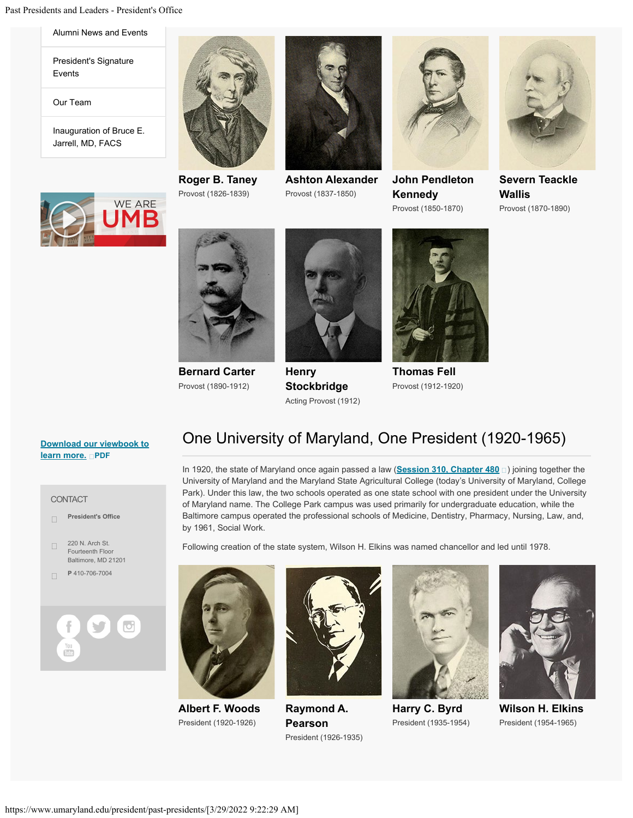[Alumni News and Events](https://www.umaryland.edu/president/alumni/)

[President's Signature](https://www.umaryland.edu/president/presidents-signature-events-/) [Events](https://www.umaryland.edu/president/presidents-signature-events-/)

[Our Team](https://www.umaryland.edu/president/our-team/)

[Inauguration of Bruce E.](https://www.umaryland.edu/president/inauguration/) [Jarrell, MD, FACS](https://www.umaryland.edu/president/inauguration/)



**Roger B. Taney** Provost (1826-1839)



**Ashton Alexander** Provost (1837-1850)



**John Pendleton Kennedy** Provost (1850-1870)



**Severn Teackle Wallis** Provost (1870-1890)





**Bernard Carter** Provost (1890-1912)



**Henry Stockbridge** Acting Provost (1912)



**Thomas Fell** Provost (1912-1920)

#### **[Download our viewbook to](https://www.umaryland.edu/media/umb/president/alumni-communications/We-Are-UMB-Book-WEB-NEW-FINAL.pdf) [learn more.](https://www.umaryland.edu/media/umb/president/alumni-communications/We-Are-UMB-Book-WEB-NEW-FINAL.pdf) [PDF](https://www.umaryland.edu/media/umb/president/alumni-communications/We-Are-UMB-Book-WEB-NEW-FINAL.pdf)**

CONTACT



### One University of Maryland, One President (1920-1965)

In 1920, the state of Maryland once again passed a law (<u>[Session 310, Chapter 480](http://aomol.msa.maryland.gov/megafile/msa/speccol/sc2900/sc2908/000001/000539/html/index.html)</u>  $_{\square}$ ) joining together the University of Maryland and the Maryland State Agricultural College (today's University of Maryland, College Park). Under this law, the two schools operated as one state school with one president under the University of Maryland name. The College Park campus was used primarily for undergraduate education, while the Baltimore campus operated the professional schools of Medicine, Dentistry, Pharmacy, Nursing, Law, and, by 1961, Social Work.

Following creation of the state system, Wilson H. Elkins was named chancellor and led until 1978.



**Albert F. Woods** President (1920-1926)



**Raymond A. Pearson** President (1926-1935)



**Harry C. Byrd** President (1935-1954)



**Wilson H. Elkins** President (1954-1965)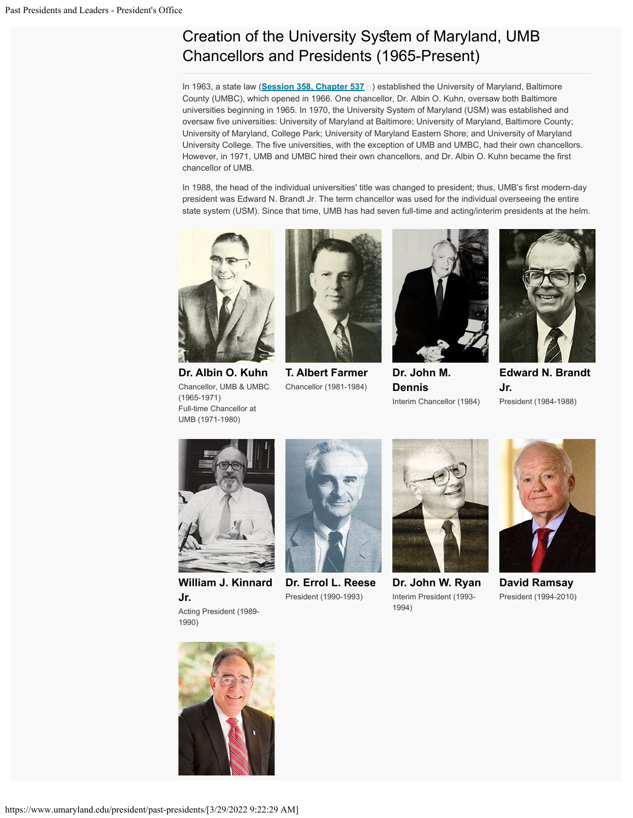## Creation of the University System of Maryland, UMB Chancellors and Presidents (1965-Present)

In 1963, a state law (<u>[Session 358, Chapter 537](http://aomol.msa.maryland.gov/megafile/msa/speccol/sc2900/sc2908/000001/000671/html/index.html)</u>  $_\square$ ) established the University of Maryland, Baltimore County (UMBC), which opened in 1966. One chancellor, Dr. Albin O. Kuhn, oversaw both Baltimore universities beginning in 1965. In 1970, the University System of Maryland (USM) was established and oversaw five universities: University of Maryland at Baltimore; University of Maryland, Baltimore County; University of Maryland, College Park; University of Maryland Eastern Shore; and University of Maryland University College. The five universities, with the exception of UMB and UMBC, had their own chancellors. However, in 1971, UMB and UMBC hired their own chancellors, and Dr. Albin O. Kuhn became the first chancellor of UMB.

In 1988, the head of the individual universities' title was changed to president; thus, UMB's first modern-day president was Edward N. Brandt Jr. The term chancellor was used for the individual overseeing the entire state system (USM). Since that time, UMB has had seven full-time and acting/interim presidents at the helm.



**Dr. Albin O. Kuhn** Chancellor, UMB & UMBC (1965-1971) Full-time Chancellor at UMB (1971-1980)



**T. Albert Farmer** Chancellor (1981-1984)



**Dr. John M. Dennis** Interim Chancellor (1984)



**Edward N. Brandt Jr.** President (1984-1988)



**William J. Kinnard Jr.** Acting President (1989- 1990)



**Dr. Errol L. Reese** President (1990-1993)



**Dr. John W. Ryan** Interim President (1993- 1994)



**David Ramsay** President (1994-2010)